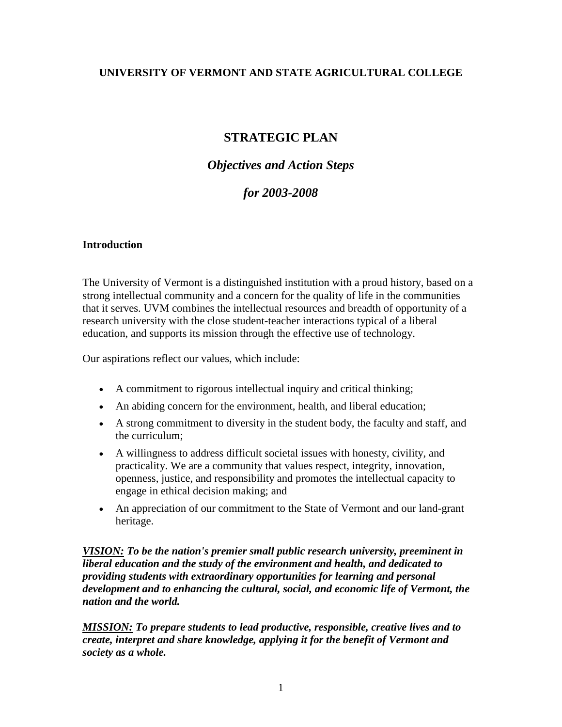#### **UNIVERSITY OF VERMONT AND STATE AGRICULTURAL COLLEGE**

# **STRATEGIC PLAN**

## *Objectives and Action Steps*

## *for 2003-2008*

#### **Introduction**

The University of Vermont is a distinguished institution with a proud history, based on a strong intellectual community and a concern for the quality of life in the communities that it serves. UVM combines the intellectual resources and breadth of opportunity of a research university with the close student-teacher interactions typical of a liberal education, and supports its mission through the effective use of technology.

Our aspirations reflect our values, which include:

- A commitment to rigorous intellectual inquiry and critical thinking;
- An abiding concern for the environment, health, and liberal education;
- A strong commitment to diversity in the student body, the faculty and staff, and the curriculum;
- A willingness to address difficult societal issues with honesty, civility, and practicality. We are a community that values respect, integrity, innovation, openness, justice, and responsibility and promotes the intellectual capacity to engage in ethical decision making; and
- An appreciation of our commitment to the State of Vermont and our land-grant heritage.

*VISION: To be the nation's premier small public research university, preeminent in liberal education and the study of the environment and health, and dedicated to providing students with extraordinary opportunities for learning and personal development and to enhancing the cultural, social, and economic life of Vermont, the nation and the world.*

*MISSION: To prepare students to lead productive, responsible, creative lives and to create, interpret and share knowledge, applying it for the benefit of Vermont and society as a whole.*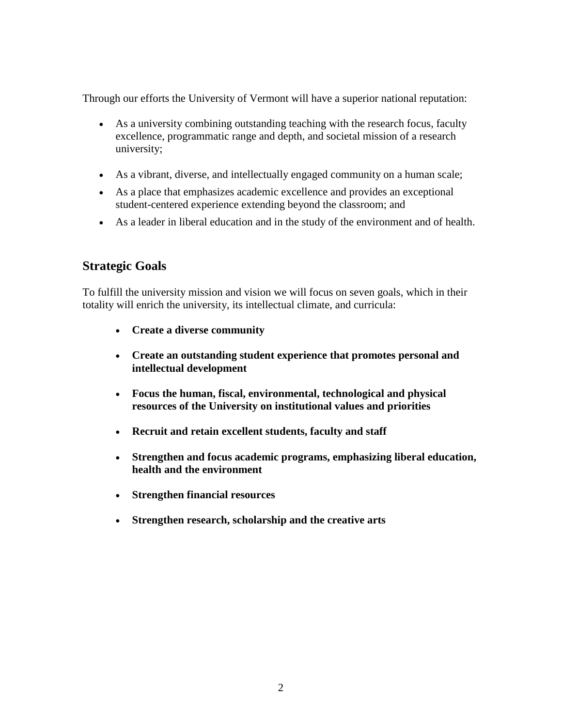Through our efforts the University of Vermont will have a superior national reputation:

- As a university combining outstanding teaching with the research focus, faculty excellence, programmatic range and depth, and societal mission of a research university;
- As a vibrant, diverse, and intellectually engaged community on a human scale;
- As a place that emphasizes academic excellence and provides an exceptional student-centered experience extending beyond the classroom; and
- As a leader in liberal education and in the study of the environment and of health.

# **Strategic Goals**

To fulfill the university mission and vision we will focus on seven goals, which in their totality will enrich the university, its intellectual climate, and curricula:

- **Create a diverse community**
- **Create an outstanding student experience that promotes personal and intellectual development**
- **Focus the human, fiscal, environmental, technological and physical resources of the University on institutional values and priorities**
- **Recruit and retain excellent students, faculty and staff**
- **Strengthen and focus academic programs, emphasizing liberal education, health and the environment**
- **Strengthen financial resources**
- **Strengthen research, scholarship and the creative arts**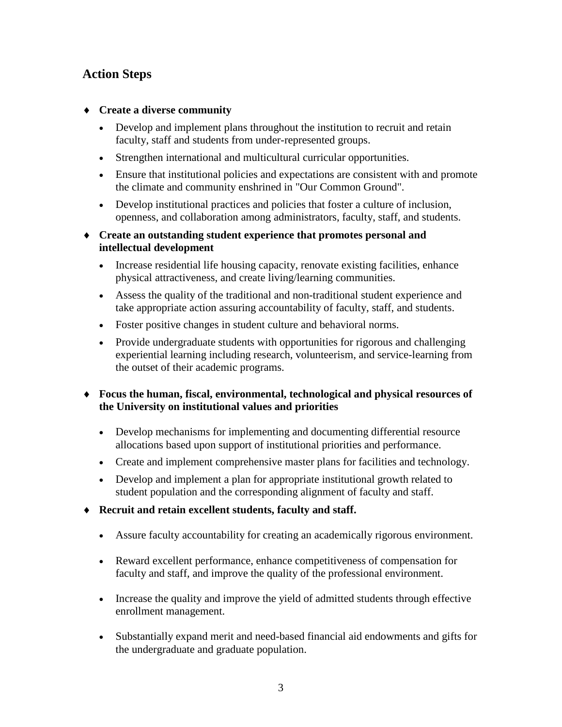# **Action Steps**

- ♦ **Create a diverse community** 
	- Develop and implement plans throughout the institution to recruit and retain faculty, staff and students from under-represented groups.
	- Strengthen international and multicultural curricular opportunities.
	- Ensure that institutional policies and expectations are consistent with and promote the climate and community enshrined in "Our Common Ground".
	- Develop institutional practices and policies that foster a culture of inclusion, openness, and collaboration among administrators, faculty, staff, and students.
- ♦ **Create an outstanding student experience that promotes personal and intellectual development**
	- Increase residential life housing capacity, renovate existing facilities, enhance physical attractiveness, and create living/learning communities.
	- Assess the quality of the traditional and non-traditional student experience and take appropriate action assuring accountability of faculty, staff, and students.
	- Foster positive changes in student culture and behavioral norms.
	- Provide undergraduate students with opportunities for rigorous and challenging experiential learning including research, volunteerism, and service-learning from the outset of their academic programs.

### ♦ **Focus the human, fiscal, environmental, technological and physical resources of the University on institutional values and priorities**

- Develop mechanisms for implementing and documenting differential resource allocations based upon support of institutional priorities and performance.
- Create and implement comprehensive master plans for facilities and technology.
- Develop and implement a plan for appropriate institutional growth related to student population and the corresponding alignment of faculty and staff.
- ♦ **Recruit and retain excellent students, faculty and staff.**
	- Assure faculty accountability for creating an academically rigorous environment.
	- Reward excellent performance, enhance competitiveness of compensation for faculty and staff, and improve the quality of the professional environment.
	- Increase the quality and improve the yield of admitted students through effective enrollment management.
	- Substantially expand merit and need-based financial aid endowments and gifts for the undergraduate and graduate population.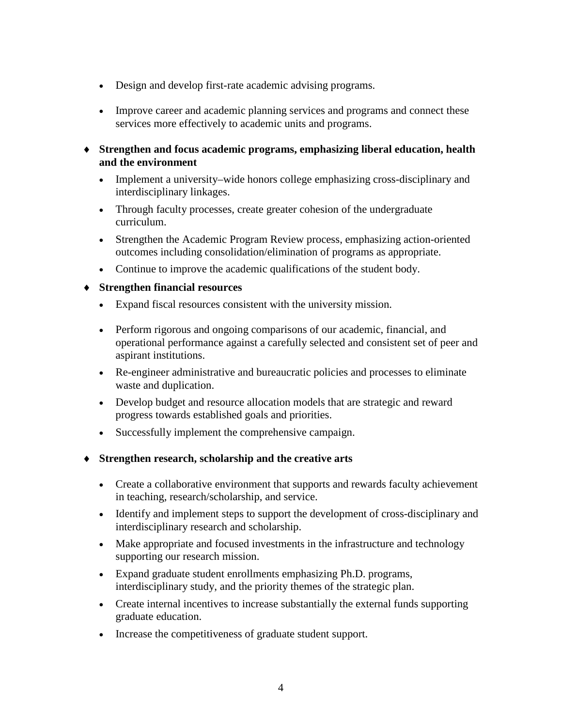- Design and develop first-rate academic advising programs.
- Improve career and academic planning services and programs and connect these services more effectively to academic units and programs.
- ♦ **Strengthen and focus academic programs, emphasizing liberal education, health and the environment** 
	- Implement a university–wide honors college emphasizing cross-disciplinary and interdisciplinary linkages.
	- Through faculty processes, create greater cohesion of the undergraduate curriculum.
	- Strengthen the Academic Program Review process, emphasizing action-oriented outcomes including consolidation/elimination of programs as appropriate.
	- Continue to improve the academic qualifications of the student body.

#### ♦ **Strengthen financial resources**

- Expand fiscal resources consistent with the university mission.
- Perform rigorous and ongoing comparisons of our academic, financial, and operational performance against a carefully selected and consistent set of peer and aspirant institutions.
- Re-engineer administrative and bureaucratic policies and processes to eliminate waste and duplication.
- Develop budget and resource allocation models that are strategic and reward progress towards established goals and priorities.
- Successfully implement the comprehensive campaign.
- ♦ **Strengthen research, scholarship and the creative arts** 
	- Create a collaborative environment that supports and rewards faculty achievement in teaching, research/scholarship, and service.
	- Identify and implement steps to support the development of cross-disciplinary and interdisciplinary research and scholarship.
	- Make appropriate and focused investments in the infrastructure and technology supporting our research mission.
	- Expand graduate student enrollments emphasizing Ph.D. programs, interdisciplinary study, and the priority themes of the strategic plan.
	- Create internal incentives to increase substantially the external funds supporting graduate education.
	- Increase the competitiveness of graduate student support.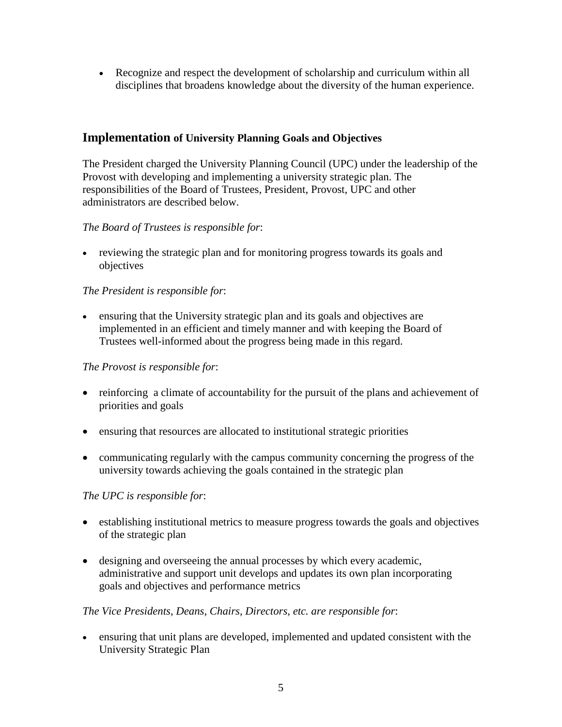• Recognize and respect the development of scholarship and curriculum within all disciplines that broadens knowledge about the diversity of the human experience.

## **Implementation of University Planning Goals and Objectives**

The President charged the University Planning Council (UPC) under the leadership of the Provost with developing and implementing a university strategic plan. The responsibilities of the Board of Trustees, President, Provost, UPC and other administrators are described below.

### *The Board of Trustees is responsible for*:

• reviewing the strategic plan and for monitoring progress towards its goals and objectives

### *The President is responsible for*:

• ensuring that the University strategic plan and its goals and objectives are implemented in an efficient and timely manner and with keeping the Board of Trustees well-informed about the progress being made in this regard.

#### *The Provost is responsible for*:

- reinforcing a climate of accountability for the pursuit of the plans and achievement of priorities and goals
- ensuring that resources are allocated to institutional strategic priorities
- communicating regularly with the campus community concerning the progress of the university towards achieving the goals contained in the strategic plan

### *The UPC is responsible for*:

- establishing institutional metrics to measure progress towards the goals and objectives of the strategic plan
- designing and overseeing the annual processes by which every academic, administrative and support unit develops and updates its own plan incorporating goals and objectives and performance metrics

#### *The Vice Presidents, Deans, Chairs, Directors, etc. are responsible for*:

• ensuring that unit plans are developed, implemented and updated consistent with the University Strategic Plan